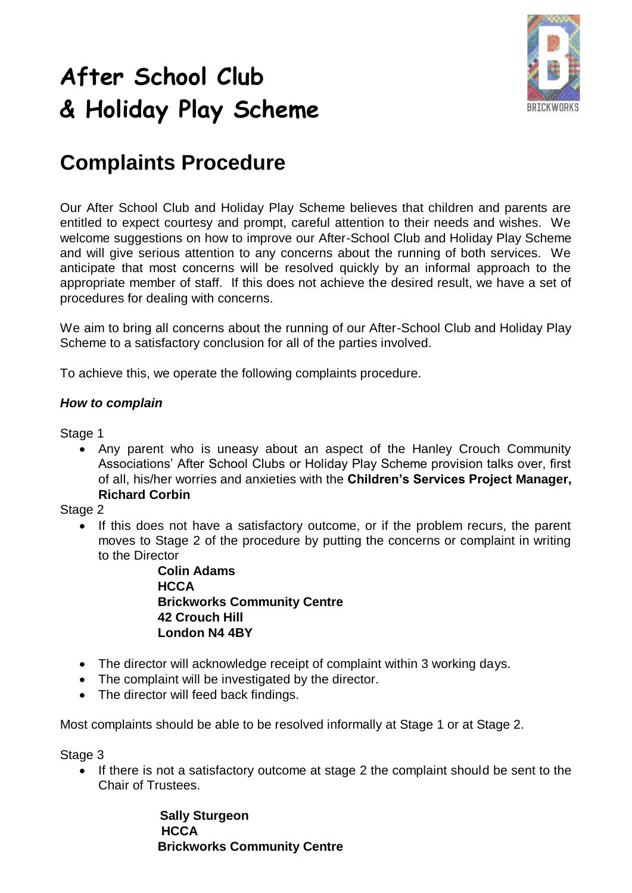# **After School Club & Holiday Play Scheme**



## **Complaints Procedure**

Our After School Club and Holiday Play Scheme believes that children and parents are entitled to expect courtesy and prompt, careful attention to their needs and wishes. We welcome suggestions on how to improve our After-School Club and Holiday Play Scheme and will give serious attention to any concerns about the running of both services. We anticipate that most concerns will be resolved quickly by an informal approach to the appropriate member of staff. If this does not achieve the desired result, we have a set of procedures for dealing with concerns.

We aim to bring all concerns about the running of our After-School Club and Holiday Play Scheme to a satisfactory conclusion for all of the parties involved.

To achieve this, we operate the following complaints procedure.

### *How to complain*

Stage 1

 Any parent who is uneasy about an aspect of the Hanley Crouch Community Associations' After School Clubs or Holiday Play Scheme provision talks over, first of all, his/her worries and anxieties with the **Children's Services Project Manager, Richard Corbin**

Stage 2

• If this does not have a satisfactory outcome, or if the problem recurs, the parent moves to Stage 2 of the procedure by putting the concerns or complaint in writing to the Director

> **Colin Adams HCCA Brickworks Community Centre 42 Crouch Hill London N4 4BY**

- The director will acknowledge receipt of complaint within 3 working days.
- The complaint will be investigated by the director.
- The director will feed back findings.

Most complaints should be able to be resolved informally at Stage 1 or at Stage 2.

Stage 3

• If there is not a satisfactory outcome at stage 2 the complaint should be sent to the Chair of Trustees.

> **Sally Sturgeon HCCA Brickworks Community Centre**